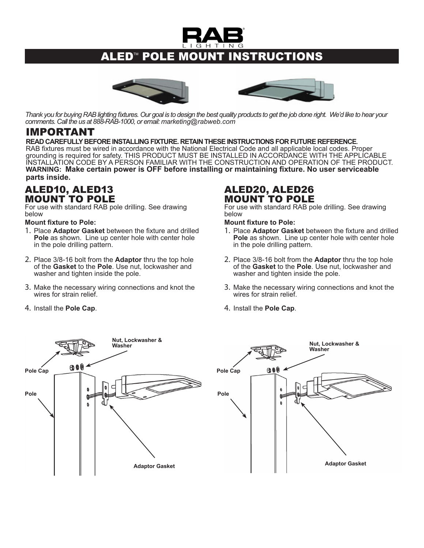## ALED™ POLE MOUNT INSTRUCTIONS





*Thank you for buying RAB lighting fixtures. Our goal is to design the best quality products to get the job done right. We'd like to hear your comments. Call the us at 888-RAB-1000, or email: marketing@rabweb.com*

IMPORTANT<br>READ CAREFULLY BEFORE INSTALLING FIXTURE. RETAIN THESE INSTRUCTIONS FOR FUTURE REFERENCE. RAB fixtures must be wired in accordance with the National Electrical Code and all applicable local codes. Proper grounding is required for safety. THIS PRODUCT MUST BE INSTALLED IN ACCORDANCE WITH THE APPLICABLE INSTALLATION CODE BY A PERSON FAMILIAR WITH THE CONSTRUCTION AND OPERATION OF THE PRODUCT. **WARNING: Make certain power is OFF before installing or maintaining fixture. No user serviceable parts inside.**

### ALED10, ALED13 MOUNT TO POLE

For use with standard RAB pole drilling. See drawing below

### **Mount fixture to Pole:**

4. Install the **Pole Cap**.

- 1. Place **Adaptor Gasket** between the fixture and drilled **Pole** as shown. Line up center hole with center hole in the pole drilling pattern.
- 2. Place 3/8-16 bolt from the **Adaptor** thru the top hole of the **Gasket** to the **Pole**. Use nut, lockwasher and washer and tighten inside the pole.
- 3. Make the necessary wiring connections and knot the wires for strain relief.

### ALED20, ALED26 MOUNT TO POLE

For use with standard RAB pole drilling. See drawing below

### **Mount fixture to Pole:**

- 1. Place **Adaptor Gasket** between the fixture and drilled **Pole** as shown. Line up center hole with center hole in the pole drilling pattern.
- 2. Place 3/8-16 bolt from the **Adaptor** thru the top hole of the **Gasket** to the **Pole**. Use nut, lockwasher and washer and tighten inside the pole.
- 3. Make the necessary wiring connections and knot the wires for strain relief.
- 4. Install the **Pole Cap**.

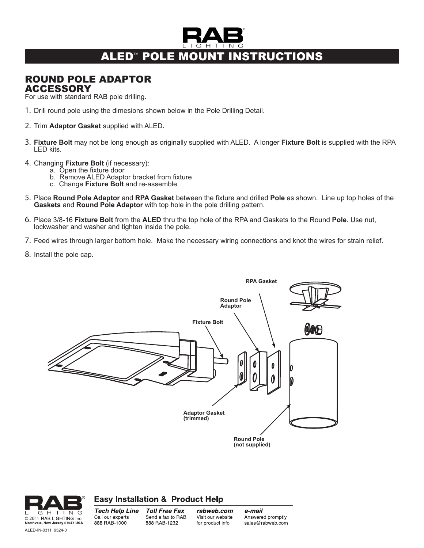# **ALED™ POLE MOUNT INSTRUCTIONS**

### ROUND POLE ADAPTOR ACCESSORY

For use with standard RAB pole drilling.

- 1. Drill round pole using the dimesions shown below in the Pole Drilling Detail.
- 2. Trim **Adaptor Gasket** supplied with ALED**.**
- 3. **Fixture Bolt** may not be long enough as originally supplied with ALED. A longer **Fixture Bolt** is supplied with the RPA LED kits.
- 4. Changing **Fixture Bolt** (if necessary):
	- a. Open the fixture door
	- b. Remove ALED Adaptor bracket from fixture
	- c. Change **Fixture Bolt** and re-assemble
- 5. Place **Round Pole Adaptor** and **RPA Gasket** between the fixture and drilled **Pole** as shown. Line up top holes of the **Gaskets** and **Round Pole Adaptor** with top hole in the pole drilling pattern.
- 6. Place 3/8-16 **Fixture Bolt** from the **ALED** thru the top hole of the RPA and Gaskets to the Round **Pole**. Use nut, lockwasher and washer and tighten inside the pole.
- 7. Feed wires through larger bottom hole. Make the necessary wiring connections and knot the wires for strain relief.
- 8. Install the pole cap.





### **Easy Installation & Product Help**

**Tech Help Line** Call our experts 888 RAB 1000

**Toll Free Fax** Send a fax to RAB 888 RAB-1232

rabweb.com Visit our website for product info

e-mail Answered promptly sales@rabweb.com

ALED-IN-0311 9524-0